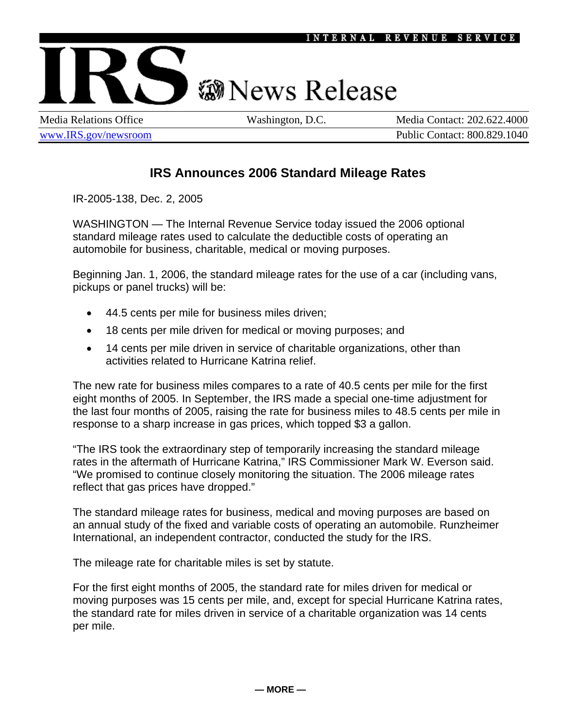## **@News Release**

Media Relations Office Washington, D.C. Media Contact: 202.622.4000 www.IRS.gov/newsroom Public Contact: 800.829.1040

## **IRS Announces 2006 Standard Mileage Rates**

IR-2005-138, Dec. 2, 2005

IR-2005-138, Dec. 2, 2005 — Page 1 of 2

WASHINGTON — The Internal Revenue Service today issued the 2006 optional standard mileage rates used to calculate the deductible costs of operating an automobile for business, charitable, medical or moving purposes.

Beginning Jan. 1, 2006, the standard mileage rates for the use of a car (including vans, pickups or panel trucks) will be:

- 44.5 cents per mile for business miles driven;
- 18 cents per mile driven for medical or moving purposes; and
- 14 cents per mile driven in service of charitable organizations, other than activities related to Hurricane Katrina relief.

The new rate for business miles compares to a rate of 40.5 cents per mile for the first eight months of 2005. In September, the IRS made a special one-time adjustment for the last four months of 2005, raising the rate for business miles to 48.5 cents per mile in response to a sharp increase in gas prices, which topped \$3 a gallon.

"The IRS took the extraordinary step of temporarily increasing the standard mileage rates in the aftermath of Hurricane Katrina," IRS Commissioner Mark W. Everson said. "We promised to continue closely monitoring the situation. The 2006 mileage rates reflect that gas prices have dropped."

The standard mileage rates for business, medical and moving purposes are based on an annual study of the fixed and variable costs of operating an automobile. Runzheimer International, an independent contractor, conducted the study for the IRS.

The mileage rate for charitable miles is set by statute.

For the first eight months of 2005, the standard rate for miles driven for medical or moving purposes was 15 cents per mile, and, except for special Hurricane Katrina rates, the standard rate for miles driven in service of a charitable organization was 14 cents per mile.